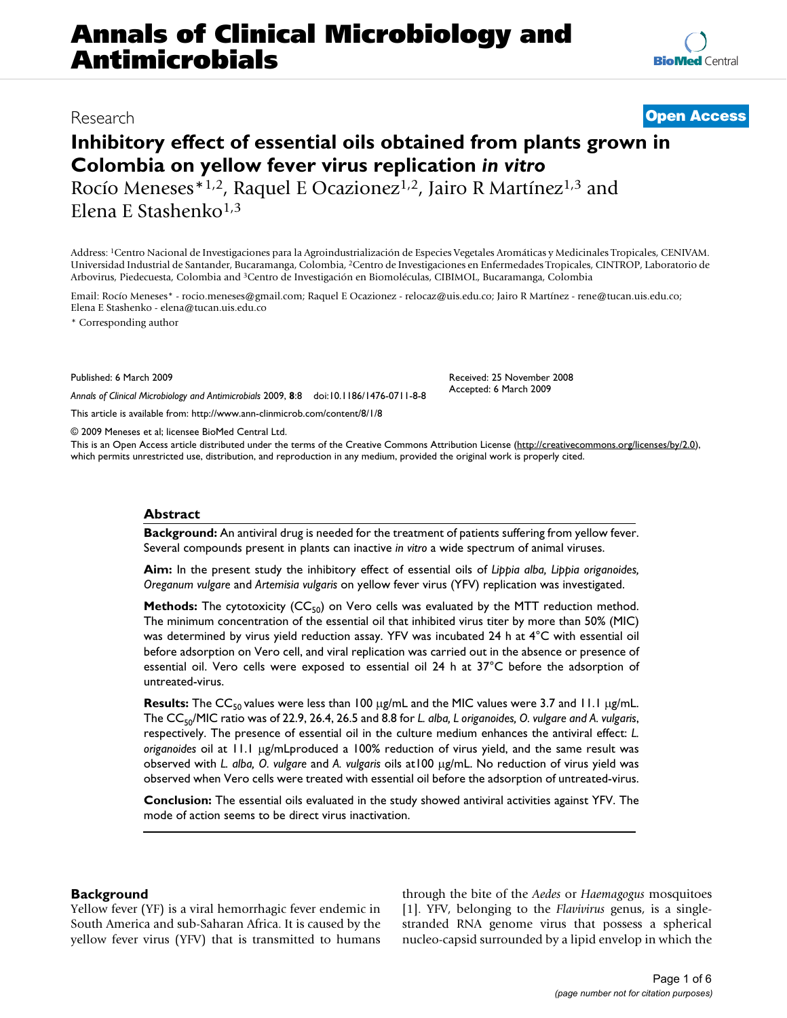# **Annals of Clinical Microbiology and Antimicrobials**

### Research **[Open Access](http://www.biomedcentral.com/info/about/charter/)**

## **Inhibitory effect of essential oils obtained from plants grown in Colombia on yellow fever virus replication** *in vitro*

Rocío Meneses<sup>\*1,2</sup>, Raquel E Ocazionez<sup>1,2</sup>, Jairo R Martínez<sup>1,3</sup> and Elena E Stashenko<sup>1,3</sup>

Address: 1Centro Nacional de Investigaciones para la Agroindustrialización de Especies Vegetales Aromáticas y Medicinales Tropicales, CENIVAM. Universidad Industrial de Santander, Bucaramanga, Colombia, 2Centro de Investigaciones en Enfermedades Tropicales, CINTROP, Laboratorio de Arbovirus, Piedecuesta, Colombia and 3Centro de Investigación en Biomoléculas, CIBIMOL, Bucaramanga, Colombia

Email: Rocío Meneses\* - rocio.meneses@gmail.com; Raquel E Ocazionez - relocaz@uis.edu.co; Jairo R Martínez - rene@tucan.uis.edu.co; Elena E Stashenko - elena@tucan.uis.edu.co

\* Corresponding author

Published: 6 March 2009

*Annals of Clinical Microbiology and Antimicrobials* 2009, **8**:8 doi:10.1186/1476-0711-8-8

[This article is available from: http://www.ann-clinmicrob.com/content/8/1/8](http://www.ann-clinmicrob.com/content/8/1/8)

© 2009 Meneses et al; licensee BioMed Central Ltd.

This is an Open Access article distributed under the terms of the Creative Commons Attribution License [\(http://creativecommons.org/licenses/by/2.0\)](http://creativecommons.org/licenses/by/2.0), which permits unrestricted use, distribution, and reproduction in any medium, provided the original work is properly cited.

#### **Abstract**

**Background:** An antiviral drug is needed for the treatment of patients suffering from yellow fever. Several compounds present in plants can inactive *in vitro* a wide spectrum of animal viruses.

**Aim:** In the present study the inhibitory effect of essential oils of *Lippia alba, Lippia origanoides, Oreganum vulgare* and *Artemisia vulgaris* on yellow fever virus (YFV) replication was investigated.

**Methods:** The cytotoxicity (CC<sub>50</sub>) on Vero cells was evaluated by the MTT reduction method. The minimum concentration of the essential oil that inhibited virus titer by more than 50% (MIC) was determined by virus yield reduction assay. YFV was incubated 24 h at 4°C with essential oil before adsorption on Vero cell, and viral replication was carried out in the absence or presence of essential oil. Vero cells were exposed to essential oil 24 h at 37°C before the adsorption of untreated-virus.

**Results:** The CC<sub>50</sub> values were less than 100 μg/mL and the MIC values were 3.7 and 11.1 μg/mL. The CC<sub>50</sub>/MIC ratio was of 22.9, 26.4, 26.5 and 8.8 for *L. alba, L origanoides, O. vulgare and A. vulgaris,* respectively. The presence of essential oil in the culture medium enhances the antiviral effect: *L. origanoides* oil at 11.1 μg/mLproduced a 100% reduction of virus yield, and the same result was observed with *L. alba, O. vulgare* and *A. vulgaris* oils at100 μg/mL. No reduction of virus yield was observed when Vero cells were treated with essential oil before the adsorption of untreated-virus.

**Conclusion:** The essential oils evaluated in the study showed antiviral activities against YFV. The mode of action seems to be direct virus inactivation.

#### **Background**

Yellow fever (YF) is a viral hemorrhagic fever endemic in South America and sub-Saharan Africa. It is caused by the yellow fever virus (YFV) that is transmitted to humans through the bite of the *Aedes* or *Haemagogus* mosquitoes [[1\]](#page-5-0). YFV, belonging to the *Flavivirus* genus, is a singlestranded RNA genome virus that possess a spherical nucleo-capsid surrounded by a lipid envelop in which the

Received: 25 November 2008 Accepted: 6 March 2009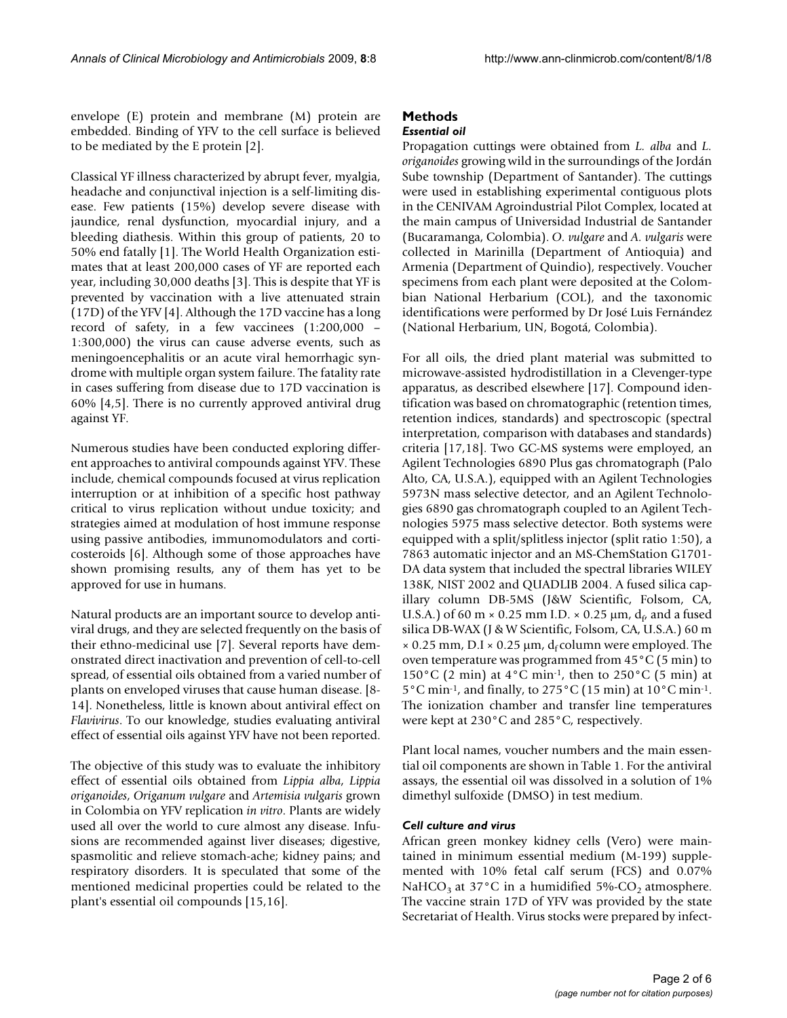envelope (E) protein and membrane (M) protein are embedded. Binding of YFV to the cell surface is believed to be mediated by the E protein [\[2\]](#page-5-1).

Classical YF illness characterized by abrupt fever, myalgia, headache and conjunctival injection is a self-limiting disease. Few patients (15%) develop severe disease with jaundice, renal dysfunction, myocardial injury, and a bleeding diathesis. Within this group of patients, 20 to 50% end fatally [[1](#page-5-0)]. The World Health Organization estimates that at least 200,000 cases of YF are reported each year, including 30,000 deaths [\[3](#page-5-2)]. This is despite that YF is prevented by vaccination with a live attenuated strain (17D) of the YFV [\[4\]](#page-5-3). Although the 17D vaccine has a long record of safety, in a few vaccinees (1:200,000 – 1:300,000) the virus can cause adverse events, such as meningoencephalitis or an acute viral hemorrhagic syndrome with multiple organ system failure. The fatality rate in cases suffering from disease due to 17D vaccination is 60% [\[4,](#page-5-3)[5\]](#page-5-4). There is no currently approved antiviral drug against YF.

Numerous studies have been conducted exploring different approaches to antiviral compounds against YFV. These include, chemical compounds focused at virus replication interruption or at inhibition of a specific host pathway critical to virus replication without undue toxicity; and strategies aimed at modulation of host immune response using passive antibodies, immunomodulators and corticosteroids [\[6\]](#page-5-5). Although some of those approaches have shown promising results, any of them has yet to be approved for use in humans.

Natural products are an important source to develop antiviral drugs, and they are selected frequently on the basis of their ethno-medicinal use [\[7\]](#page-5-6). Several reports have demonstrated direct inactivation and prevention of cell-to-cell spread, of essential oils obtained from a varied number of plants on enveloped viruses that cause human disease. [[8](#page-5-7)- [14\]](#page-5-8). Nonetheless, little is known about antiviral effect on *Flavivirus*. To our knowledge, studies evaluating antiviral effect of essential oils against YFV have not been reported.

The objective of this study was to evaluate the inhibitory effect of essential oils obtained from *Lippia alba*, *Lippia origanoides*, *Origanum vulgare* and *Artemisia vulgaris* grown in Colombia on YFV replication *in vitro*. Plants are widely used all over the world to cure almost any disease. Infusions are recommended against liver diseases; digestive, spasmolitic and relieve stomach-ache; kidney pains; and respiratory disorders. It is speculated that some of the mentioned medicinal properties could be related to the plant's essential oil compounds [\[15](#page-5-9)[,16](#page-5-10)].

## **Methods**

### *Essential oil*

Propagation cuttings were obtained from *L. alba* and *L. origanoides* growing wild in the surroundings of the Jordán Sube township (Department of Santander). The cuttings were used in establishing experimental contiguous plots in the CENIVAM Agroindustrial Pilot Complex, located at the main campus of Universidad Industrial de Santander (Bucaramanga, Colombia). *O. vulgare* and *A. vulgaris* were collected in Marinilla (Department of Antioquia) and Armenia (Department of Quindio), respectively. Voucher specimens from each plant were deposited at the Colombian National Herbarium (COL), and the taxonomic identifications were performed by Dr José Luis Fernández (National Herbarium, UN, Bogotá, Colombia).

For all oils, the dried plant material was submitted to microwave-assisted hydrodistillation in a Clevenger-type apparatus, as described elsewhere [[17\]](#page-5-11). Compound identification was based on chromatographic (retention times, retention indices, standards) and spectroscopic (spectral interpretation, comparison with databases and standards) criteria [[17,](#page-5-11)[18](#page-5-12)]. Two GC-MS systems were employed, an Agilent Technologies 6890 Plus gas chromatograph (Palo Alto, CA, U.S.A.), equipped with an Agilent Technologies 5973N mass selective detector, and an Agilent Technologies 6890 gas chromatograph coupled to an Agilent Technologies 5975 mass selective detector. Both systems were equipped with a split/splitless injector (split ratio 1:50), a 7863 automatic injector and an MS-ChemStation G1701- DA data system that included the spectral libraries WILEY 138K, NIST 2002 and QUADLIB 2004. A fused silica capillary column DB-5MS (J&W Scientific, Folsom, CA, U.S.A.) of 60 m  $\times$  0.25 mm I.D.  $\times$  0.25 µm,  $d_f$  and a fused silica DB-WAX (J & W Scientific, Folsom, CA, U.S.A.) 60 m  $\times$  0.25 mm, D.I  $\times$  0.25 µm, d<sub>f</sub> column were employed. The oven temperature was programmed from 45°C (5 min) to 150°C (2 min) at  $4^{\circ}$ C min<sup>-1</sup>, then to 250°C (5 min) at 5°C min-1, and finally, to 275°C (15 min) at 10°C min-1. The ionization chamber and transfer line temperatures were kept at 230°C and 285°C, respectively.

Plant local names, voucher numbers and the main essential oil components are shown in Table [1](#page-2-0). For the antiviral assays, the essential oil was dissolved in a solution of 1% dimethyl sulfoxide (DMSO) in test medium.

#### *Cell culture and virus*

African green monkey kidney cells (Vero) were maintained in minimum essential medium (M-199) supplemented with 10% fetal calf serum (FCS) and 0.07% NaHCO<sub>3</sub> at 37 $\degree$ C in a humidified 5%-CO<sub>2</sub> atmosphere. The vaccine strain 17D of YFV was provided by the state Secretariat of Health. Virus stocks were prepared by infect-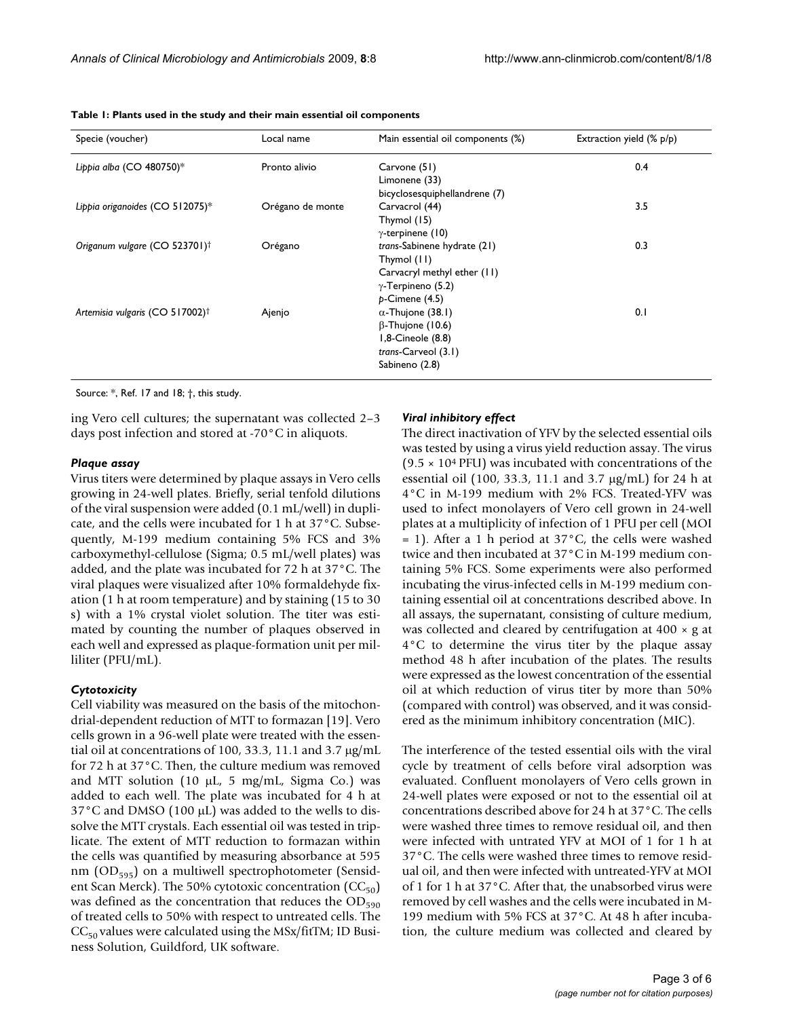| Specie (voucher)                            | Local name       | Main essential oil components (%)                                                                                           | Extraction yield (% p/p) |
|---------------------------------------------|------------------|-----------------------------------------------------------------------------------------------------------------------------|--------------------------|
| Lippia alba (CO 480750)*                    | Pronto alivio    | Carvone (51)<br>Limonene (33)<br>bicyclosesquiphellandrene (7)                                                              | 0.4                      |
| Lippia origanoides (CO 512075)*             | Orégano de monte | Carvacrol (44)<br>Thymol (15)<br>$\gamma$ -terpinene (10)                                                                   | 3.5                      |
| Origanum vulgare (CO 523701) <sup>†</sup>   | Orégano          | trans-Sabinene hydrate (21)<br>Thymol (11)<br>Carvacryl methyl ether (11)<br>$\gamma$ -Terpineno (5.2)<br>$p$ -Cimene (4.5) | 0.3                      |
| Artemisia vulgaris (CO 517002) <sup>†</sup> | Ajenjo           | $\alpha$ -Thujone (38.1)<br>$\beta$ -Thujone (10.6)<br>1,8-Cineole (8.8)<br>$trans-Carveol(3.1)$<br>Sabineno (2.8)          | 0.1                      |

<span id="page-2-0"></span>**Table 1: Plants used in the study and their main essential oil components**

Source: \*, Ref. 17 and 18; †, this study.

ing Vero cell cultures; the supernatant was collected 2–3 days post infection and stored at -70°C in aliquots.

#### *Plaque assay*

Virus titers were determined by plaque assays in Vero cells growing in 24-well plates. Briefly, serial tenfold dilutions of the viral suspension were added (0.1 mL/well) in duplicate, and the cells were incubated for 1 h at 37°C. Subsequently, M-199 medium containing 5% FCS and 3% carboxymethyl-cellulose (Sigma; 0.5 mL/well plates) was added, and the plate was incubated for 72 h at 37°C. The viral plaques were visualized after 10% formaldehyde fixation (1 h at room temperature) and by staining (15 to 30 s) with a 1% crystal violet solution. The titer was estimated by counting the number of plaques observed in each well and expressed as plaque-formation unit per milliliter (PFU/mL).

#### *Cytotoxicity*

Cell viability was measured on the basis of the mitochondrial-dependent reduction of MTT to formazan [\[19](#page-5-13)]. Vero cells grown in a 96-well plate were treated with the essential oil at concentrations of 100, 33.3, 11.1 and 3.7 μg/mL for 72 h at 37°C. Then, the culture medium was removed and MTT solution (10 μL, 5 mg/mL, Sigma Co.) was added to each well. The plate was incubated for 4 h at 37°C and DMSO (100 μL) was added to the wells to dissolve the MTT crystals. Each essential oil was tested in triplicate. The extent of MTT reduction to formazan within the cells was quantified by measuring absorbance at 595 nm  $(OD_{595})$  on a multiwell spectrophotometer (Sensident Scan Merck). The 50% cytotoxic concentration  $(CC_{50})$ was defined as the concentration that reduces the  $OD_{590}$ of treated cells to 50% with respect to untreated cells. The  $CC_{50}$  values were calculated using the MSx/fitTM; ID Business Solution, Guildford, UK software.

#### *Viral inhibitory effect*

The direct inactivation of YFV by the selected essential oils was tested by using a virus yield reduction assay. The virus  $(9.5 \times 10^4 \text{ PFU})$  was incubated with concentrations of the essential oil (100, 33.3, 11.1 and 3.7 μg/mL) for 24 h at 4°C in M-199 medium with 2% FCS. Treated-YFV was used to infect monolayers of Vero cell grown in 24-well plates at a multiplicity of infection of 1 PFU per cell (MOI  $= 1$ ). After a 1 h period at 37 $\degree$ C, the cells were washed twice and then incubated at 37°C in M-199 medium containing 5% FCS. Some experiments were also performed incubating the virus-infected cells in M-199 medium containing essential oil at concentrations described above. In all assays, the supernatant, consisting of culture medium, was collected and cleared by centrifugation at  $400 \times g$  at 4°C to determine the virus titer by the plaque assay method 48 h after incubation of the plates. The results were expressed as the lowest concentration of the essential oil at which reduction of virus titer by more than 50% (compared with control) was observed, and it was considered as the minimum inhibitory concentration (MIC).

The interference of the tested essential oils with the viral cycle by treatment of cells before viral adsorption was evaluated. Confluent monolayers of Vero cells grown in 24-well plates were exposed or not to the essential oil at concentrations described above for 24 h at 37°C. The cells were washed three times to remove residual oil, and then were infected with untrated YFV at MOI of 1 for 1 h at 37°C. The cells were washed three times to remove residual oil, and then were infected with untreated-YFV at MOI of 1 for 1 h at 37°C. After that, the unabsorbed virus were removed by cell washes and the cells were incubated in M-199 medium with 5% FCS at 37°C. At 48 h after incubation, the culture medium was collected and cleared by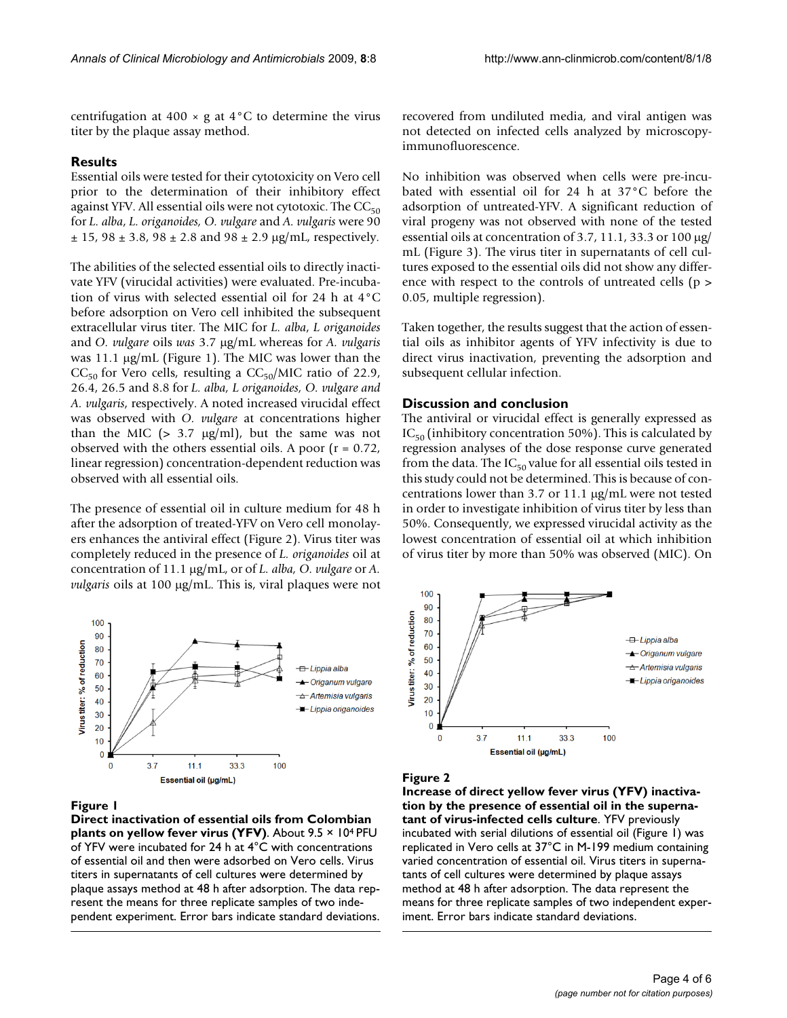centrifugation at 400  $\times$  g at 4 $\degree$ C to determine the virus titer by the plaque assay method.

#### **Results**

Essential oils were tested for their cytotoxicity on Vero cell prior to the determination of their inhibitory effect against YFV. All essential oils were not cytotoxic. The  $CC_{50}$ for *L. alba*, *L. origanoides, O. vulgare* and *A. vulgaris* were 90  $\pm$  15, 98  $\pm$  3.8, 98  $\pm$  2.8 and 98  $\pm$  2.9  $\mu$ g/mL, respectively.

The abilities of the selected essential oils to directly inactivate YFV (virucidal activities) were evaluated. Pre-incubation of virus with selected essential oil for 24 h at 4°C before adsorption on Vero cell inhibited the subsequent extracellular virus titer. The MIC for *L. alba*, *L origanoides* and *O. vulgare* oils *was* 3.7 μg/mL whereas for *A. vulgaris* was 11.1 μg/mL (Figure [1\)](#page-3-0). The MIC was lower than the  $CC_{50}$  for Vero cells, resulting a  $CC_{50}/MIC$  ratio of 22.9, 26.4, 26.5 and 8.8 for *L. alba, L origanoides, O. vulgare and A. vulgaris*, respectively. A noted increased virucidal effect was observed with *O. vulgare* at concentrations higher than the MIC  $(> 3.7 \text{ µg/ml})$ , but the same was not observed with the others essential oils. A poor  $(r = 0.72)$ , linear regression) concentration-dependent reduction was observed with all essential oils.

The presence of essential oil in culture medium for 48 h after the adsorption of treated-YFV on Vero cell monolayers enhances the antiviral effect (Figure [2](#page-3-1)). Virus titer was completely reduced in the presence of *L. origanoides* oil at concentration of 11.1 μg/mL, or of *L. alba, O. vulgare* or *A. vulgaris* oils at 100 μg/mL. This is, viral plaques were not

<span id="page-3-0"></span>

#### Figure 1

**Direct inactivation of essential oils from Colombian plants on yellow fever virus (YFV)**. About 9.5 × 104 PFU of YFV were incubated for 24 h at 4°C with concentrations of essential oil and then were adsorbed on Vero cells. Virus titers in supernatants of cell cultures were determined by plaque assays method at 48 h after adsorption. The data represent the means for three replicate samples of two independent experiment. Error bars indicate standard deviations.

recovered from undiluted media, and viral antigen was not detected on infected cells analyzed by microscopyimmunofluorescence.

No inhibition was observed when cells were pre-incubated with essential oil for 24 h at 37°C before the adsorption of untreated-YFV. A significant reduction of viral progeny was not observed with none of the tested essential oils at concentration of 3.7, 11.1, 33.3 or 100 μg/ mL (Figure [3](#page-4-0)). The virus titer in supernatants of cell cultures exposed to the essential oils did not show any difference with respect to the controls of untreated cells (p > 0.05, multiple regression).

Taken together, the results suggest that the action of essential oils as inhibitor agents of YFV infectivity is due to direct virus inactivation, preventing the adsorption and subsequent cellular infection.

#### **Discussion and conclusion**

The antiviral or virucidal effect is generally expressed as  $IC_{50}$  (inhibitory concentration 50%). This is calculated by regression analyses of the dose response curve generated from the data. The  $IC_{50}$  value for all essential oils tested in this study could not be determined. This is because of concentrations lower than 3.7 or 11.1 μg/mL were not tested in order to investigate inhibition of virus titer by less than 50%. Consequently, we expressed virucidal activity as the lowest concentration of essential oil at which inhibition of virus titer by more than 50% was observed (MIC). On

<span id="page-3-1"></span>

#### Figure 2

**Increase of direct yellow fever virus (YFV) inactivation by the presence of essential oil in the supernatant of virus-infected cells culture**. YFV previously incubated with serial dilutions of essential oil (Figure 1) was replicated in Vero cells at 37°C in M-199 medium containing varied concentration of essential oil. Virus titers in supernatants of cell cultures were determined by plaque assays method at 48 h after adsorption. The data represent the means for three replicate samples of two independent experiment. Error bars indicate standard deviations.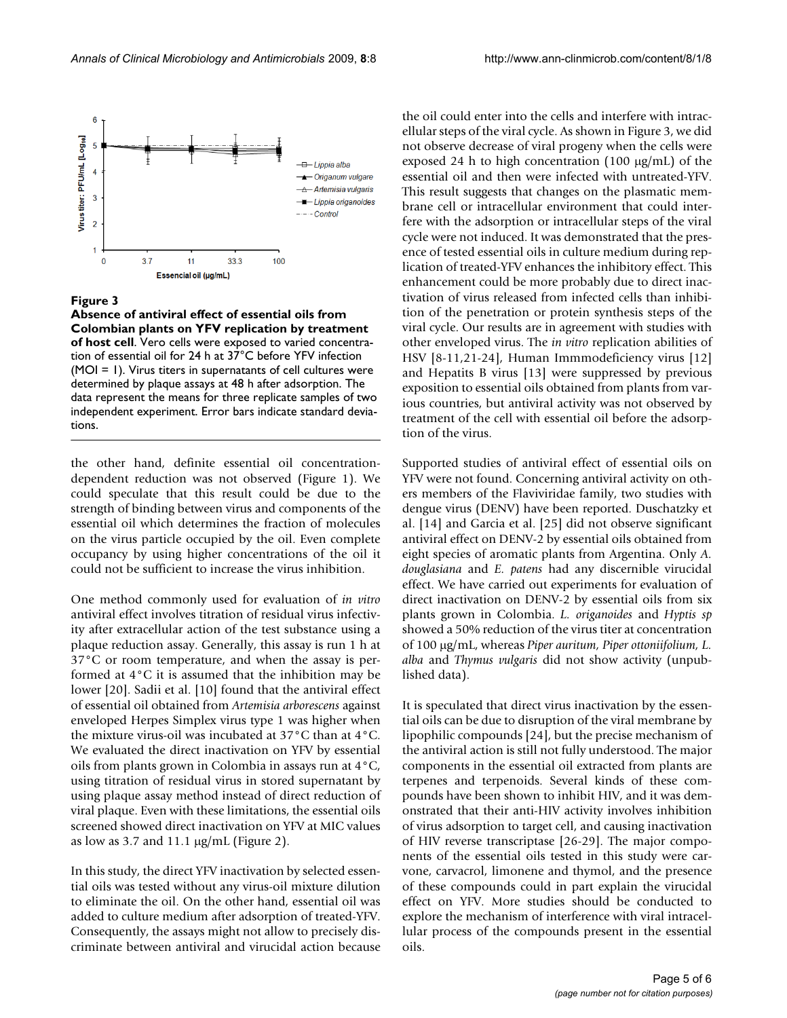<span id="page-4-0"></span>

#### Figure 3

**Absence of antiviral effect of essential oils from Colombian plants on YFV replication by treatment of host cell**. Vero cells were exposed to varied concentration of essential oil for 24 h at 37°C before YFV infection (MOI = 1). Virus titers in supernatants of cell cultures were determined by plaque assays at 48 h after adsorption. The data represent the means for three replicate samples of two independent experiment. Error bars indicate standard deviations.

the other hand, definite essential oil concentrationdependent reduction was not observed (Figure [1](#page-3-0)). We could speculate that this result could be due to the strength of binding between virus and components of the essential oil which determines the fraction of molecules on the virus particle occupied by the oil. Even complete occupancy by using higher concentrations of the oil it could not be sufficient to increase the virus inhibition.

One method commonly used for evaluation of *in vitro* antiviral effect involves titration of residual virus infectivity after extracellular action of the test substance using a plaque reduction assay. Generally, this assay is run 1 h at 37°C or room temperature, and when the assay is performed at 4°C it is assumed that the inhibition may be lower [\[20\]](#page-5-14). Sadii et al. [[10\]](#page-5-15) found that the antiviral effect of essential oil obtained from *Artemisia arborescens* against enveloped Herpes Simplex virus type 1 was higher when the mixture virus-oil was incubated at 37°C than at 4°C. We evaluated the direct inactivation on YFV by essential oils from plants grown in Colombia in assays run at 4°C, using titration of residual virus in stored supernatant by using plaque assay method instead of direct reduction of viral plaque. Even with these limitations, the essential oils screened showed direct inactivation on YFV at MIC values as low as 3.7 and 11.1 μg/mL (Figure [2](#page-3-1)).

In this study, the direct YFV inactivation by selected essential oils was tested without any virus-oil mixture dilution to eliminate the oil. On the other hand, essential oil was added to culture medium after adsorption of treated-YFV. Consequently, the assays might not allow to precisely discriminate between antiviral and virucidal action because the oil could enter into the cells and interfere with intracellular steps of the viral cycle. As shown in Figure [3,](#page-4-0) we did not observe decrease of viral progeny when the cells were exposed 24 h to high concentration (100 μg/mL) of the essential oil and then were infected with untreated-YFV. This result suggests that changes on the plasmatic membrane cell or intracellular environment that could interfere with the adsorption or intracellular steps of the viral cycle were not induced. It was demonstrated that the presence of tested essential oils in culture medium during replication of treated-YFV enhances the inhibitory effect. This enhancement could be more probably due to direct inactivation of virus released from infected cells than inhibition of the penetration or protein synthesis steps of the viral cycle. Our results are in agreement with studies with other enveloped virus. The *in vitro* replication abilities of HSV [[8](#page-5-7)[-11](#page-5-16),[21-](#page-5-17)[24](#page-5-18)], Human Immmodeficiency virus [[12\]](#page-5-19) and Hepatits B virus [[13\]](#page-5-20) were suppressed by previous exposition to essential oils obtained from plants from various countries, but antiviral activity was not observed by treatment of the cell with essential oil before the adsorption of the virus.

Supported studies of antiviral effect of essential oils on YFV were not found. Concerning antiviral activity on others members of the Flaviviridae family, two studies with dengue virus (DENV) have been reported. Duschatzky et al. [[14\]](#page-5-8) and Garcia et al. [\[25](#page-5-21)] did not observe significant antiviral effect on DENV-2 by essential oils obtained from eight species of aromatic plants from Argentina. Only *A. douglasiana* and *E. patens* had any discernible virucidal effect. We have carried out experiments for evaluation of direct inactivation on DENV-2 by essential oils from six plants grown in Colombia. *L. origanoides* and *Hyptis sp* showed a 50% reduction of the virus titer at concentration of 100 μg/mL, whereas *Piper auritum, Piper ottoniifolium, L. alba* and *Thymus vulgaris* did not show activity (unpublished data).

It is speculated that direct virus inactivation by the essential oils can be due to disruption of the viral membrane by lipophilic compounds [\[24](#page-5-18)], but the precise mechanism of the antiviral action is still not fully understood. The major components in the essential oil extracted from plants are terpenes and terpenoids. Several kinds of these compounds have been shown to inhibit HIV, and it was demonstrated that their anti-HIV activity involves inhibition of virus adsorption to target cell, and causing inactivation of HIV reverse transcriptase [[26-](#page-5-22)[29\]](#page-5-23). The major components of the essential oils tested in this study were carvone, carvacrol, limonene and thymol, and the presence of these compounds could in part explain the virucidal effect on YFV. More studies should be conducted to explore the mechanism of interference with viral intracellular process of the compounds present in the essential oils.